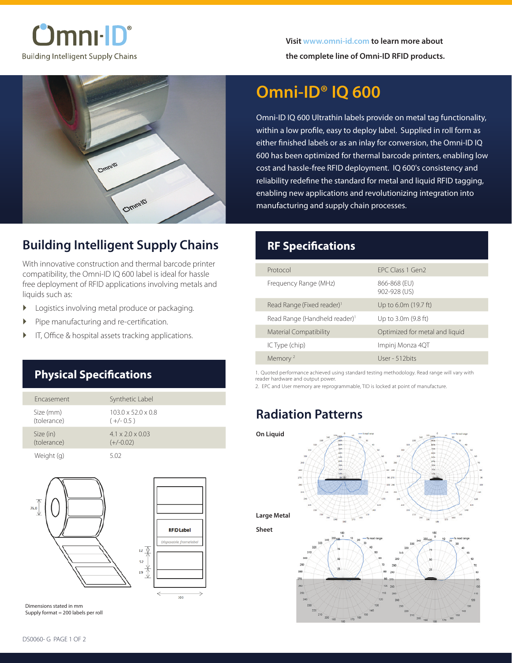



## **Building Intelligent Supply Chains**

With innovative construction and thermal barcode printer compatibility, the Omni-ID IQ 600 label is ideal for hassle free deployment of RFID applications involving metals and liquids such as:

- **D** Logistics involving metal produce or packaging.
- � Pipe manufacturing and re-certification.
- IT, Office & hospital assets tracking applications.

### **Physical Specifications**

| Fncasement               | Synthetic Label                               |
|--------------------------|-----------------------------------------------|
| Size (mm)<br>(tolerance) | $103.0 \times 52.0 \times 0.8$<br>$(+/- 0.5)$ |
| Size (in)<br>(tolerance) | $4.1 \times 2.0 \times 0.03$<br>$(+/-0.02)$   |
| Weight (g)               | 5.02                                          |



Dimensions stated in mm Supply format = 200 labels per roll

# **Omni-ID® IQ 600**

Omni-ID IQ 600 Ultrathin labels provide on metal tag functionality, within a low profile, easy to deploy label. Supplied in roll form as either finished labels or as an inlay for conversion, the Omni-ID IQ 600 has been optimized for thermal barcode printers, enabling low cost and hassle-free RFID deployment. IQ 600's consistency and reliability redefine the standard for metal and liquid RFID tagging, enabling new applications and revolutionizing integration into manufacturing and supply chain processes.

#### **RF Specifications**

| Protocol                                  | FPC Class 1 Gen2               |
|-------------------------------------------|--------------------------------|
| Frequency Range (MHz)                     | 866-868 (EU)<br>902-928 (US)   |
| Read Range (Fixed reader) <sup>1</sup>    | Up to 6.0m (19.7 ft)           |
| Read Range (Handheld reader) <sup>1</sup> | Up to 3.0m (9.8 ft)            |
| <b>Material Compatibility</b>             | Optimized for metal and liquid |
| IC Type (chip)                            | Impinj Monza 4QT               |
| Memory <sup>2</sup>                       | User - 512 bits                |

1. Quoted performance achieved using standard testing methodology. Read range will vary with reader hardware and output power.

2. EPC and User memory are reprogrammable, TID is locked at point of manufacture.

### **Radiation Patterns**